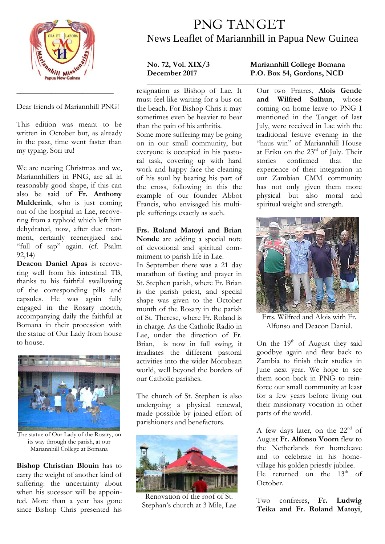

Dear friends of Mariannhill PNG!

\_\_\_\_\_\_\_\_\_\_\_\_\_\_\_\_\_\_\_\_\_\_\_\_\_

This edition was meant to be written in October but, as already in the past, time went faster than my typing. Sori tru!

We are nearing Christmas and we, Mariannhillers in PNG, are all in reasonably good shape, if this can also be said of **Fr. Anthony Mulderink**, who is just coming out of the hospital in Lae, recovering from a typhoid which left him dehydrated, now, after due treatment, certainly reenergized and "full of sap" again. (cf. Psalm 92,14)

**Deacon Daniel Apas** is recovering well from his intestinal TB, thanks to his faithful swallowing of the corresponding pills and capsules. He was again fully engaged in the Rosary month, accompanying daily the faithful at Bomana in their procession with the statue of Our Lady from house to house.



The statue of Our Lady of the Rosary, on its way through the parish, at our Mariannhill College at Bomana

**Bishop Christian Blouin** has to carry the weight of another kind of suffering: the uncertainty about when his sucessor will be appointed. More than a year has gone since Bishop Chris presented his

## PNG TANGET News Leaflet of Mariannhill in Papua New Guinea

**\_\_\_\_\_\_\_\_\_\_\_\_\_\_\_\_\_\_\_\_\_\_\_\_\_\_\_\_\_\_\_\_\_\_\_\_\_\_\_\_\_\_\_\_\_\_\_\_\_\_\_\_\_\_\_** resignation as Bishop of Lae. It must feel like waiting for a bus on the beach. For Bishop Chris it may sometimes even be heavier to bear than the pain of his arthritis.

Some more suffering may be going on in our small community, but everyone is occupied in his pastoral task, covering up with hard work and happy face the cleaning of his soul by bearing his part of the cross, following in this the example of our founder Abbot Francis, who envisaged his multiple sufferings exactly as such.

**Frs. Roland Matoyi and Brian Nonde** are adding a special note of devotional and spiritual commitment to parish life in Lae. In September there was a 21 day marathon of fasting and prayer in St. Stephen parish, where Fr. Brian is the parish priest, and special shape was given to the October month of the Rosary in the parish of St. Therese, where Fr. Roland is in charge. As the Catholic Radio in Lae, under the direction of Fr. Brian, is now in full swing, it irradiates the different pastoral activities into the wider Morobean world, well beyond the borders of our Catholic parishes.

The church of St. Stephen is also undergoing a physical renewal, made possible by joined effort of parishioners and benefactors.



Renovation of the roof of St. Stephan's church at 3 Mile, Lae

## **No. 72, Vol. XIX/3 Mariannhill College Bomana December 2017 P.O. Box 54, Gordons, NCD**

Our two Fratres, **Alois Gende and Wilfred Salhun**, whose coming on home leave to PNG I mentioned in the Tanget of last July, were received in Lae with the traditional festive evening in the "haus win" of Mariannhill House at Eriku on the  $23^{\text{rd}}$  of July. Their<br>stories confirmed that the stories confirmed that the experience of their integration in our Zambian CMM community has not only given them more physical but also moral and spiritual weight and strength.



Frts. Wilfred and Alois with Fr. Alfonso and Deacon Daniel.

On the 19<sup>th</sup> of August they said goodbye again and flew back to Zambia to finish their studies in June next year. We hope to see them soon back in PNG to reinforce our small community at least for a few years before living out their missionary vocation in other parts of the world.

A few days later, on the 22<sup>nd</sup> of August **Fr. Alfonso Voorn** flew to the Netherlands for homeleave and to celebrate in his homevillage his golden priestly jubilee. He returned on the  $13<sup>th</sup>$  of October.

Two confreres, **Fr. Ludwig Teika and Fr. Roland Matoyi**,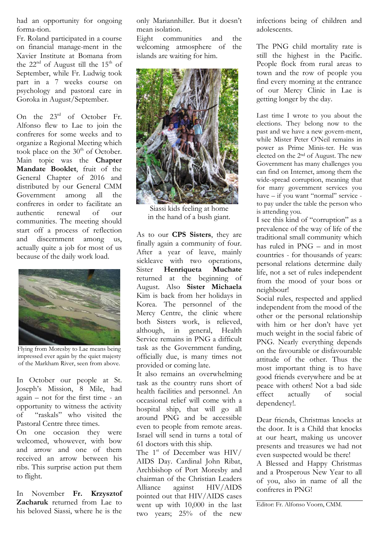had an opportunity for ongoing forma-tion.

Fr. Roland participated in a course on financial manage-ment in the Xavier Institute at Bomana from the  $22<sup>nd</sup>$  of August till the  $15<sup>th</sup>$  of September, while Fr. Ludwig took part in a 7 weeks course on psychology and pastoral care in Goroka in August/September.

On the  $23^{\text{rd}}$  of October Fr. Alfonso flew to Lae to join the confreres for some weeks and to organize a Regional Meeting which took place on the  $30<sup>th</sup>$  of October. Main topic was the **Chapter Mandate Booklet**, fruit of the General Chapter of 2016 and distributed by our General CMM Government among all the confreres in order to facilitate an authentic renewal of our communities. The meeting should start off a process of reflection and discernment among us, actually quite a job for most of us because of the daily work load.



Flying from Moresby to Lae means being impressed ever again by the quiet majesty of the Markham River, seen from above.

In October our people at St. Joseph's Mission, 8 Mile, had again – not for the first time - an opportunity to witness the activity of "raskals" who visited the Pastoral Centre three times.

On one occasion they were welcomed, whowever, with bow and arrow and one of them received an arrow between his ribs. This surprise action put them to flight.

In November **Fr. Krzysztof Zacharuk** returned from Lae to his beloved Siassi, where he is the

only Mariannhiller. But it doesn't mean isolation.

Eight communities and the welcoming atmosphere of the islands are waiting for him.



Siassi kids feeling at home in the hand of a bush giant.

As to our **CPS Sisters**, they are finally again a community of four. After a year of leave, mainly sickleave with two operations, Sister **Henriqueta Muchate** returned at the beginning of August. Also **Sister Michaela** Kim is back from her holidays in Korea. The personnel of the Mercy Centre, the clinic where both Sisters work, is relieved, although, in general, Health Service remains in PNG a difficult task as the Government funding, officially due, is many times not provided or coming late.

It also remains an overwhelming task as the country runs short of health facilities and personnel. An occasional relief will come with a hospital ship, that will go all around PNG and be accessible even to people from remote areas. Israel will send in turns a total of 61 doctors with this ship.

The  $1<sup>st</sup>$  of December was HIV/ AIDS Day. Cardinal John Ribat, Archbishop of Port Moresby and chairman of the Christian Leaders Alliance against HIV/AIDS pointed out that HIV/AIDS cases went up with 10,000 in the last two years; 25% of the new

infections being of children and adolescents.

The PNG child mortality rate is still the highest in the Pacific. People flock from rural areas to town and the row of people you find every morning at the entrance of our Mercy Clinic in Lae is getting longer by the day.

Last time I wrote to you about the elections. They belong now to the past and we have a new govern-ment, while Mister Peter O'Neil remains in power as Prime Minis-ter. He was elected on the 2nd of August. The new Government has many challenges you can find on Internet, among them the wide-spread corruption, meaning that for many government services you have – if you want "normal" service to pay under the table the person who is attending you.

I see this kind of "corruption" as a prevalence of the way of life of the traditional small community which has ruled in PNG – and in most countries - for thousands of years: personal relations determine daily life, not a set of rules independent from the mood of your boss or neighbour!

Social rules, respected and applied independent from the mood of the other or the personal relationship with him or her don't have yet much weight in the social fabric of PNG. Nearly everything depends on the favourable or disfavourable attitude of the other. Thus the most important thing is to have good friends everywhere and be at peace with others! Not a bad side effect actually of social dependency!.

Dear friends, Christmas knocks at the door. It is a Child that knocks at our heart, making us uncover presents and treasures we had not even suspected would be there!

A Blessed and Happy Christmas and a Prosperous New Year to all of you, also in name of all the confreres in PNG!

Editor: Fr. Alfonso Voorn, CMM.